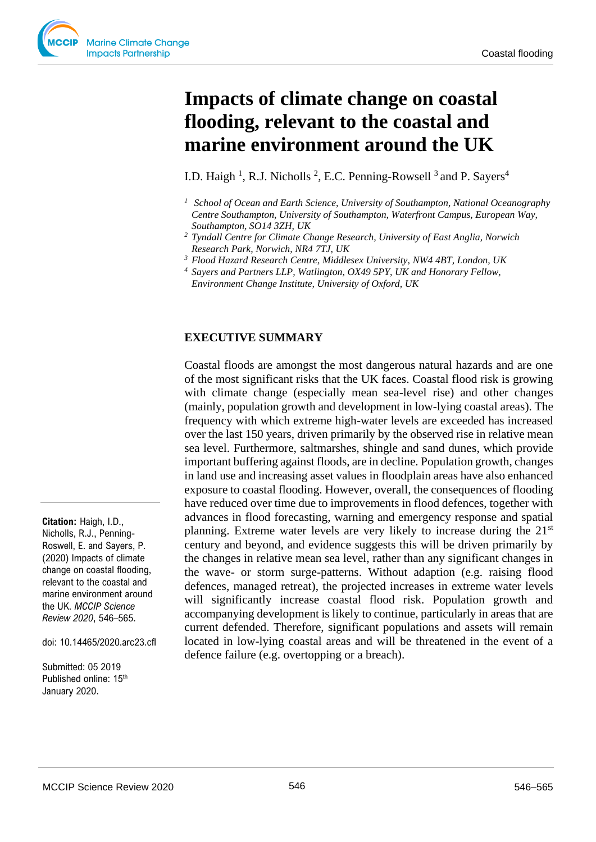# **Impacts of climate change on coastal flooding, relevant to the coastal and marine environment around the UK**

I.D. Haigh<sup>1</sup>, R.J. Nicholls<sup>2</sup>, E.C. Penning-Rowsell<sup>3</sup> and P. Sayers<sup>4</sup>

- *<sup>1</sup> School of Ocean and Earth Science, University of Southampton, National Oceanography Centre Southampton, University of Southampton, Waterfront Campus, European Way, Southampton, SO14 3ZH, UK*
- *<sup>2</sup> Tyndall Centre for Climate Change Research, University of East Anglia, Norwich Research Park, Norwich, NR4 7TJ, UK*
- *<sup>3</sup> Flood Hazard Research Centre, Middlesex University, NW4 4BT, London, UK*
- *<sup>4</sup>Sayers and Partners LLP, Watlington, OX49 5PY, UK and Honorary Fellow,*

# **EXECUTIVE SUMMARY**

Coastal floods are amongst the most dangerous natural hazards and are one of the most significant risks that the UK faces. Coastal flood risk is growing with climate change (especially mean sea-level rise) and other changes (mainly, population growth and development in low-lying coastal areas). The frequency with which extreme high-water levels are exceeded has increased over the last 150 years, driven primarily by the observed rise in relative mean sea level. Furthermore, saltmarshes, shingle and sand dunes, which provide important buffering against floods, are in decline. Population growth, changes in land use and increasing asset values in floodplain areas have also enhanced exposure to coastal flooding. However, overall, the consequences of flooding have reduced over time due to improvements in flood defences, together with advances in flood forecasting, warning and emergency response and spatial planning. Extreme water levels are very likely to increase during the  $21<sup>st</sup>$ century and beyond, and evidence suggests this will be driven primarily by the changes in relative mean sea level, rather than any significant changes in the wave- or storm surge-patterns. Without adaption (e.g. raising flood defences, managed retreat), the projected increases in extreme water levels will significantly increase coastal flood risk. Population growth and accompanying development is likely to continue, particularly in areas that are current defended. Therefore, significant populations and assets will remain located in low-lying coastal areas and will be threatened in the event of a defence failure (e.g. overtopping or a breach).

**Citation:** Haigh, I.D., Nicholls, R.J., Penning-Roswell, E. and Sayers, P. (2020) Impacts of climate change on coastal flooding, relevant to the coastal and marine environment around the UK. *MCCIP Science Review 2020*, 546–565.

doi: 10.14465/2020.arc23.cfl

Submitted: 05 2019 Published online: 15<sup>th</sup> January 2020.

*Environment Change Institute, University of Oxford, UK*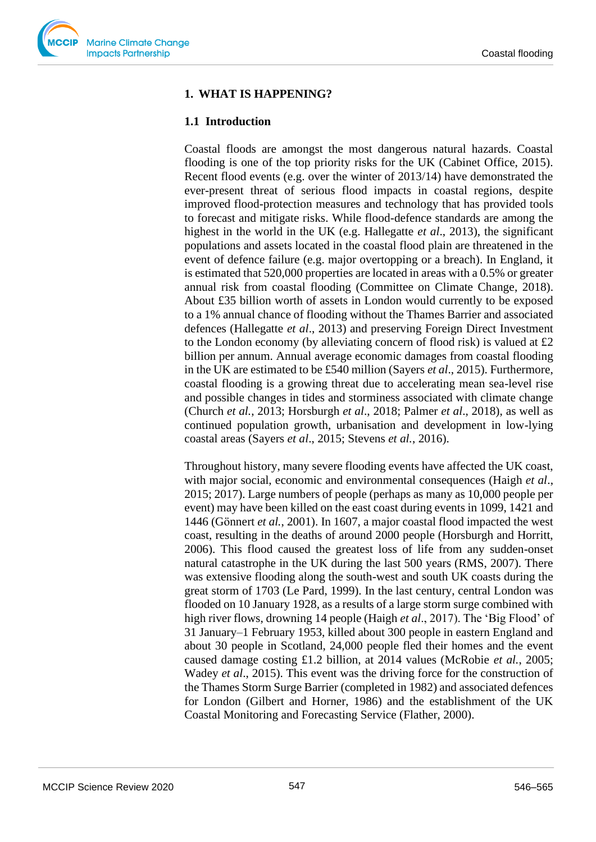

### **1. WHAT IS HAPPENING?**

#### **1.1 Introduction**

Coastal floods are amongst the most dangerous natural hazards. Coastal flooding is one of the top priority risks for the UK (Cabinet Office, 2015). Recent flood events (e.g. over the winter of 2013/14) have demonstrated the ever-present threat of serious flood impacts in coastal regions, despite improved flood-protection measures and technology that has provided tools to forecast and mitigate risks. While flood-defence standards are among the highest in the world in the UK (e.g. Hallegatte *et al*., 2013), the significant populations and assets located in the coastal flood plain are threatened in the event of defence failure (e.g. major overtopping or a breach). In England, it is estimated that 520,000 properties are located in areas with a 0.5% or greater annual risk from coastal flooding (Committee on Climate Change, 2018). About £35 billion worth of assets in London would currently to be exposed to a 1% annual chance of flooding without the Thames Barrier and associated defences (Hallegatte *et al*., 2013) and preserving Foreign Direct Investment to the London economy (by alleviating concern of flood risk) is valued at  $\pounds 2$ billion per annum. Annual average economic damages from coastal flooding in the UK are estimated to be £540 million (Sayers *et al*., 2015). Furthermore, coastal flooding is a growing threat due to accelerating mean sea-level rise and possible changes in tides and storminess associated with climate change (Church *et al.*, 2013; Horsburgh *et al*., 2018; Palmer *et al*., 2018), as well as continued population growth, urbanisation and development in low-lying coastal areas (Sayers *et al*., 2015; Stevens *et al.*, 2016).

Throughout history, many severe flooding events have affected the UK coast, with major social, economic and environmental consequences (Haigh *et al*., 2015; 2017). Large numbers of people (perhaps as many as 10,000 people per event) may have been killed on the east coast during events in 1099, 1421 and 1446 (Gönnert *et al.*, 2001). In 1607, a major coastal flood impacted the west coast, resulting in the deaths of around 2000 people (Horsburgh and Horritt, 2006). This flood caused the greatest loss of life from any sudden-onset natural catastrophe in the UK during the last 500 years (RMS, 2007). There was extensive flooding along the south-west and south UK coasts during the great storm of 1703 (Le Pard, 1999). In the last century, central London was flooded on 10 January 1928, as a results of a large storm surge combined with high river flows, drowning 14 people (Haigh *et al*., 2017). The 'Big Flood' of 31 January–1 February 1953, killed about 300 people in eastern England and about 30 people in Scotland, 24,000 people fled their homes and the event caused damage costing £1.2 billion, at 2014 values (McRobie *et al.*, 2005; Wadey *et al*., 2015). This event was the driving force for the construction of the Thames Storm Surge Barrier (completed in 1982) and associated defences for London (Gilbert and Horner, 1986) and the establishment of the UK Coastal Monitoring and Forecasting Service (Flather, 2000).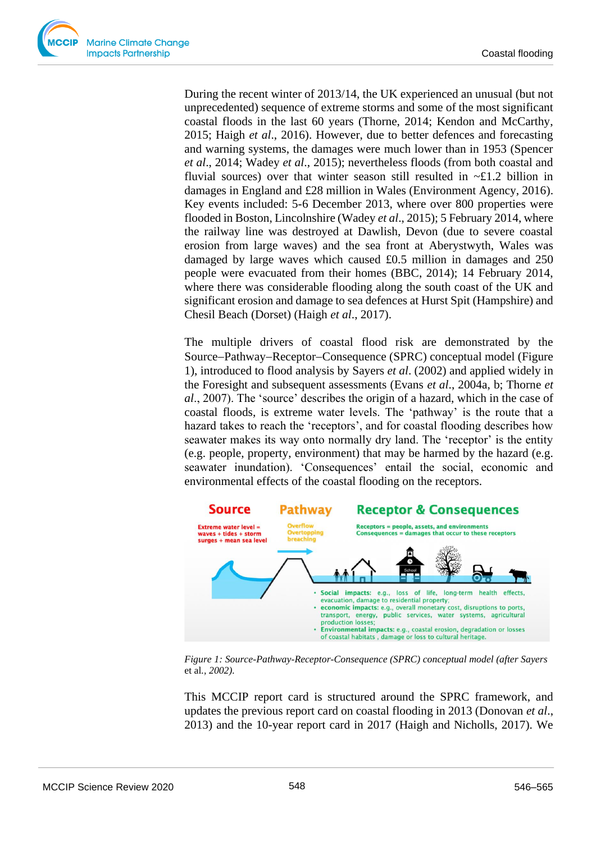During the recent winter of 2013/14, the UK experienced an unusual (but not unprecedented) sequence of extreme storms and some of the most significant coastal floods in the last 60 years (Thorne, 2014; Kendon and McCarthy, 2015; Haigh *et al*., 2016). However, due to better defences and forecasting and warning systems, the damages were much lower than in 1953 (Spencer *et al*., 2014; Wadey *et al*., 2015); nevertheless floods (from both coastal and fluvial sources) over that winter season still resulted in  $\sim \pounds 1.2$  billion in damages in England and £28 million in Wales (Environment Agency, 2016). Key events included: 5-6 December 2013, where over 800 properties were flooded in Boston, Lincolnshire (Wadey *et al*., 2015); 5 February 2014, where the railway line was destroyed at Dawlish, Devon (due to severe coastal erosion from large waves) and the sea front at Aberystwyth, Wales was damaged by large waves which caused £0.5 million in damages and 250 people were evacuated from their homes (BBC, 2014); 14 February 2014, where there was considerable flooding along the south coast of the UK and significant erosion and damage to sea defences at Hurst Spit (Hampshire) and Chesil Beach (Dorset) (Haigh *et al*., 2017).

The multiple drivers of coastal flood risk are demonstrated by the Source−Pathway−Receptor−Consequence (SPRC) conceptual model (Figure 1), introduced to flood analysis by Sayers *et al*. (2002) and applied widely in the Foresight and subsequent assessments (Evans *et al*., 2004a, b; Thorne *et al*., 2007). The 'source' describes the origin of a hazard, which in the case of coastal floods, is extreme water levels. The 'pathway' is the route that a hazard takes to reach the 'receptors', and for coastal flooding describes how seawater makes its way onto normally dry land. The 'receptor' is the entity (e.g. people, property, environment) that may be harmed by the hazard (e.g. seawater inundation). 'Consequences' entail the social, economic and environmental effects of the coastal flooding on the receptors.



*Figure 1: Source-Pathway-Receptor-Consequence (SPRC) conceptual model (after Sayers*  et al*., 2002).*

This MCCIP report card is structured around the SPRC framework, and updates the previous report card on coastal flooding in 2013 (Donovan *et al*., 2013) and the 10-year report card in 2017 (Haigh and Nicholls, 2017). We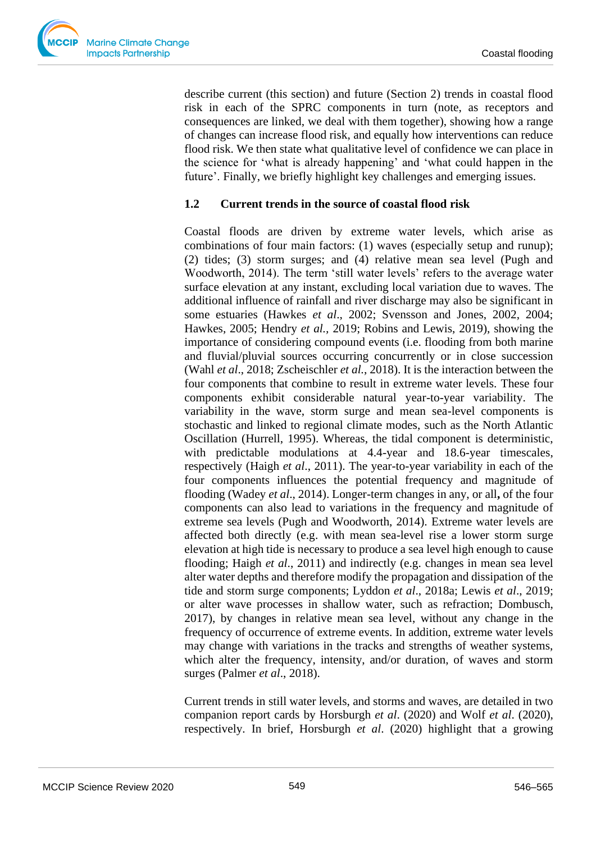

describe current (this section) and future (Section 2) trends in coastal flood risk in each of the SPRC components in turn (note, as receptors and consequences are linked, we deal with them together), showing how a range of changes can increase flood risk, and equally how interventions can reduce flood risk. We then state what qualitative level of confidence we can place in the science for 'what is already happening' and 'what could happen in the future'. Finally, we briefly highlight key challenges and emerging issues.

## **1.2 Current trends in the source of coastal flood risk**

Coastal floods are driven by extreme water levels, which arise as combinations of four main factors: (1) waves (especially setup and runup); (2) tides; (3) storm surges; and (4) relative mean sea level (Pugh and Woodworth, 2014). The term 'still water levels' refers to the average water surface elevation at any instant, excluding local variation due to waves. The additional influence of rainfall and river discharge may also be significant in some estuaries (Hawkes *et al*., 2002; Svensson and Jones, 2002, 2004; Hawkes, 2005; Hendry *et al.,* 2019; Robins and Lewis, 2019), showing the importance of considering compound events (i.e. flooding from both marine and fluvial/pluvial sources occurring concurrently or in close succession (Wahl *et al*., 2018; Zscheischler *et al.*, 2018). It is the interaction between the four components that combine to result in extreme water levels. These four components exhibit considerable natural year-to-year variability. The variability in the wave, storm surge and mean sea-level components is stochastic and linked to regional climate modes, such as the North Atlantic Oscillation (Hurrell, 1995). Whereas, the tidal component is deterministic, with predictable modulations at 4.4-year and 18.6-year timescales, respectively (Haigh *et al*., 2011). The year-to-year variability in each of the four components influences the potential frequency and magnitude of flooding (Wadey *et al*., 2014). Longer-term changes in any, or all**,** of the four components can also lead to variations in the frequency and magnitude of extreme sea levels (Pugh and Woodworth, 2014). Extreme water levels are affected both directly (e.g. with mean sea-level rise a lower storm surge elevation at high tide is necessary to produce a sea level high enough to cause flooding; Haigh *et al*., 2011) and indirectly (e.g. changes in mean sea level alter water depths and therefore modify the propagation and dissipation of the tide and storm surge components; Lyddon *et al*., 2018a; Lewis *et al*., 2019; or alter wave processes in shallow water, such as refraction; Dombusch, 2017), by changes in relative mean sea level, without any change in the frequency of occurrence of extreme events. In addition, extreme water levels may change with variations in the tracks and strengths of weather systems, which alter the frequency, intensity, and/or duration, of waves and storm surges (Palmer *et al*., 2018).

Current trends in still water levels, and storms and waves, are detailed in two companion report cards by Horsburgh *et al*. (2020) and Wolf *et al*. (2020), respectively. In brief, Horsburgh *et al*. (2020) highlight that a growing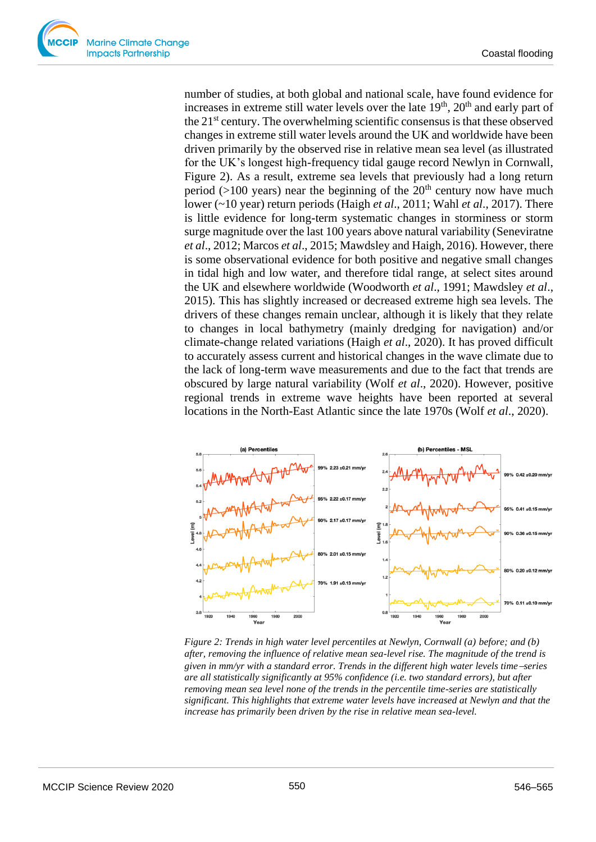number of studies, at both global and national scale, have found evidence for increases in extreme still water levels over the late  $19<sup>th</sup>$ ,  $20<sup>th</sup>$  and early part of the 21st century. The overwhelming scientific consensus is that these observed changes in extreme still water levels around the UK and worldwide have been driven primarily by the observed rise in relative mean sea level (as illustrated for the UK's longest high-frequency tidal gauge record Newlyn in Cornwall, Figure 2). As a result, extreme sea levels that previously had a long return period ( $>100$  years) near the beginning of the  $20<sup>th</sup>$  century now have much lower (~10 year) return periods (Haigh *et al*., 2011; Wahl *et al*., 2017). There is little evidence for long-term systematic changes in storminess or storm surge magnitude over the last 100 years above natural variability (Seneviratne *et al*., 2012; Marcos *et al*., 2015; Mawdsley and Haigh, 2016). However, there is some observational evidence for both positive and negative small changes in tidal high and low water, and therefore tidal range, at select sites around the UK and elsewhere worldwide (Woodworth *et al*., 1991; Mawdsley *et al*., 2015). This has slightly increased or decreased extreme high sea levels. The drivers of these changes remain unclear, although it is likely that they relate to changes in local bathymetry (mainly dredging for navigation) and/or climate-change related variations (Haigh *et al*., 2020). It has proved difficult to accurately assess current and historical changes in the wave climate due to the lack of long-term wave measurements and due to the fact that trends are obscured by large natural variability (Wolf *et al*., 2020). However, positive regional trends in extreme wave heights have been reported at several locations in the North-East Atlantic since the late 1970s (Wolf *et al*., 2020).



*Figure 2: Trends in high water level percentiles at Newlyn, Cornwall (a) before; and (b) after, removing the influence of relative mean sea-level rise. The magnitude of the trend is given in mm/yr with a standard error. Trends in the different high water levels time*−*series are all statistically significantly at 95% confidence (i.e. two standard errors), but after removing mean sea level none of the trends in the percentile time-series are statistically significant. This highlights that extreme water levels have increased at Newlyn and that the increase has primarily been driven by the rise in relative mean sea-level.*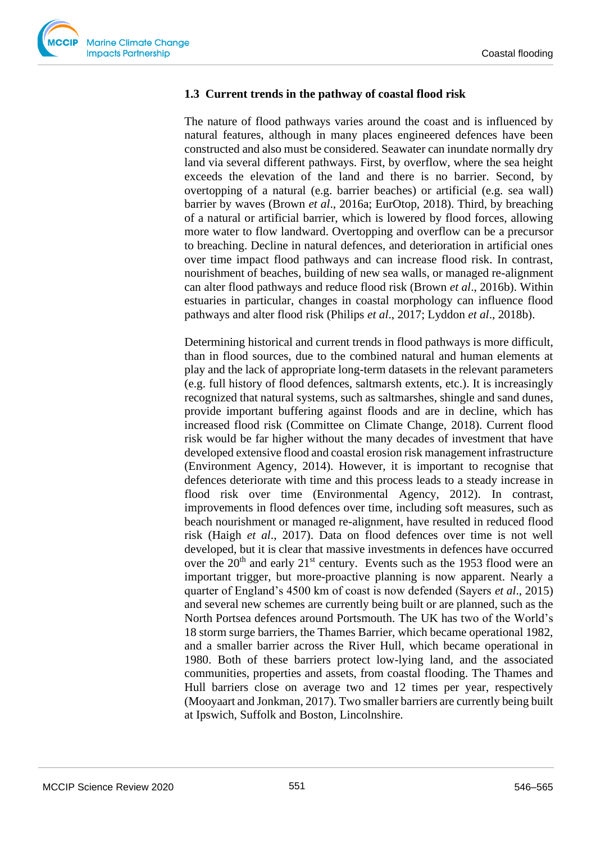

## **1.3 Current trends in the pathway of coastal flood risk**

The nature of flood pathways varies around the coast and is influenced by natural features, although in many places engineered defences have been constructed and also must be considered. Seawater can inundate normally dry land via several different pathways. First, by overflow, where the sea height exceeds the elevation of the land and there is no barrier. Second, by overtopping of a natural (e.g. barrier beaches) or artificial (e.g. sea wall) barrier by waves (Brown *et al*., 2016a; EurOtop, 2018). Third, by breaching of a natural or artificial barrier, which is lowered by flood forces, allowing more water to flow landward. Overtopping and overflow can be a precursor to breaching. Decline in natural defences, and deterioration in artificial ones over time impact flood pathways and can increase flood risk. In contrast, nourishment of beaches, building of new sea walls, or managed re-alignment can alter flood pathways and reduce flood risk (Brown *et al*., 2016b). Within estuaries in particular, changes in coastal morphology can influence flood pathways and alter flood risk (Philips *et al*., 2017; Lyddon *et al*., 2018b).

Determining historical and current trends in flood pathways is more difficult, than in flood sources, due to the combined natural and human elements at play and the lack of appropriate long-term datasets in the relevant parameters (e.g. full history of flood defences, saltmarsh extents, etc.). It is increasingly recognized that natural systems, such as saltmarshes, shingle and sand dunes, provide important buffering against floods and are in decline, which has increased flood risk (Committee on Climate Change, 2018). Current flood risk would be far higher without the many decades of investment that have developed extensive flood and coastal erosion risk management infrastructure (Environment Agency, 2014). However, it is important to recognise that defences deteriorate with time and this process leads to a steady increase in flood risk over time (Environmental Agency, 2012). In contrast, improvements in flood defences over time, including soft measures, such as beach nourishment or managed re-alignment, have resulted in reduced flood risk (Haigh *et al*., 2017). Data on flood defences over time is not well developed, but it is clear that massive investments in defences have occurred over the  $20<sup>th</sup>$  and early  $21<sup>st</sup>$  century. Events such as the 1953 flood were an important trigger, but more-proactive planning is now apparent. Nearly a quarter of England's 4500 km of coast is now defended (Sayers *et al*., 2015) and several new schemes are currently being built or are planned, such as the North Portsea defences around Portsmouth. The UK has two of the World's 18 storm surge barriers, the Thames Barrier, which became operational 1982, and a smaller barrier across the River Hull, which became operational in 1980. Both of these barriers protect low-lying land, and the associated communities, properties and assets, from coastal flooding. The Thames and Hull barriers close on average two and 12 times per year, respectively (Mooyaart and Jonkman, 2017). Two smaller barriers are currently being built at Ipswich, Suffolk and Boston, Lincolnshire.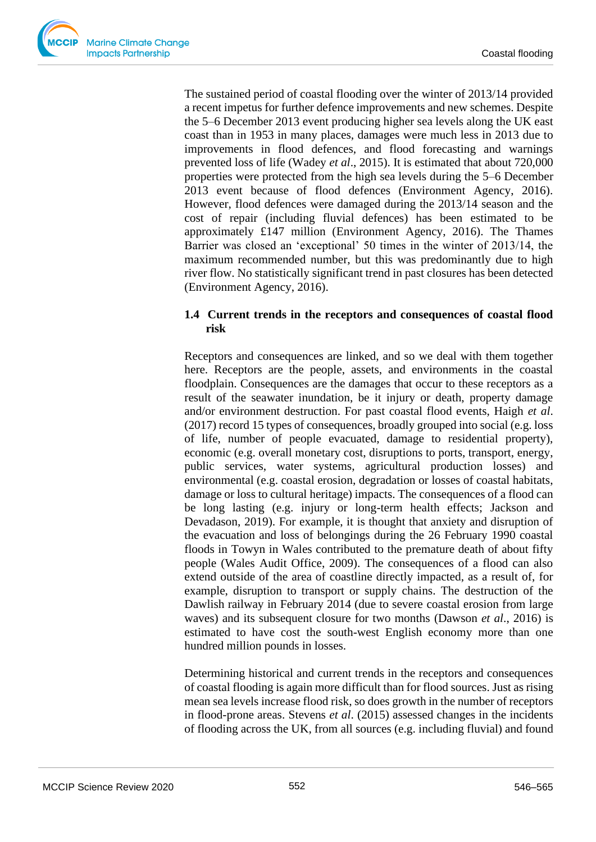The sustained period of coastal flooding over the winter of 2013/14 provided a recent impetus for further defence improvements and new schemes. Despite the 5–6 December 2013 event producing higher sea levels along the UK east coast than in 1953 in many places, damages were much less in 2013 due to improvements in flood defences, and flood forecasting and warnings prevented loss of life (Wadey *et al*., 2015). It is estimated that about 720,000 properties were protected from the high sea levels during the 5–6 December 2013 event because of flood defences (Environment Agency, 2016). However, flood defences were damaged during the 2013/14 season and the cost of repair (including fluvial defences) has been estimated to be approximately £147 million (Environment Agency, 2016). The Thames Barrier was closed an 'exceptional' 50 times in the winter of 2013/14, the maximum recommended number, but this was predominantly due to high river flow. No statistically significant trend in past closures has been detected (Environment Agency, 2016).

## **1.4 Current trends in the receptors and consequences of coastal flood risk**

Receptors and consequences are linked, and so we deal with them together here. Receptors are the people, assets, and environments in the coastal floodplain. Consequences are the damages that occur to these receptors as a result of the seawater inundation, be it injury or death, property damage and/or environment destruction. For past coastal flood events, Haigh *et al*. (2017) record 15 types of consequences, broadly grouped into social (e.g. loss of life, number of people evacuated, damage to residential property), economic (e.g. overall monetary cost, disruptions to ports, transport, energy, public services, water systems, agricultural production losses) and environmental (e.g. coastal erosion, degradation or losses of coastal habitats, damage or loss to cultural heritage) impacts. The consequences of a flood can be long lasting (e.g. injury or long-term health effects; Jackson and Devadason, 2019). For example, it is thought that anxiety and disruption of the evacuation and loss of belongings during the 26 February 1990 coastal floods in Towyn in Wales contributed to the premature death of about fifty people (Wales Audit Office, 2009). The consequences of a flood can also extend outside of the area of coastline directly impacted, as a result of, for example, disruption to transport or supply chains. The destruction of the Dawlish railway in February 2014 (due to severe coastal erosion from large waves) and its subsequent closure for two months (Dawson *et al*., 2016) is estimated to have cost the south-west English economy more than one hundred million pounds in losses.

Determining historical and current trends in the receptors and consequences of coastal flooding is again more difficult than for flood sources. Just as rising mean sea levels increase flood risk, so does growth in the number of receptors in flood-prone areas. Stevens *et al*. (2015) assessed changes in the incidents of flooding across the UK, from all sources (e.g. including fluvial) and found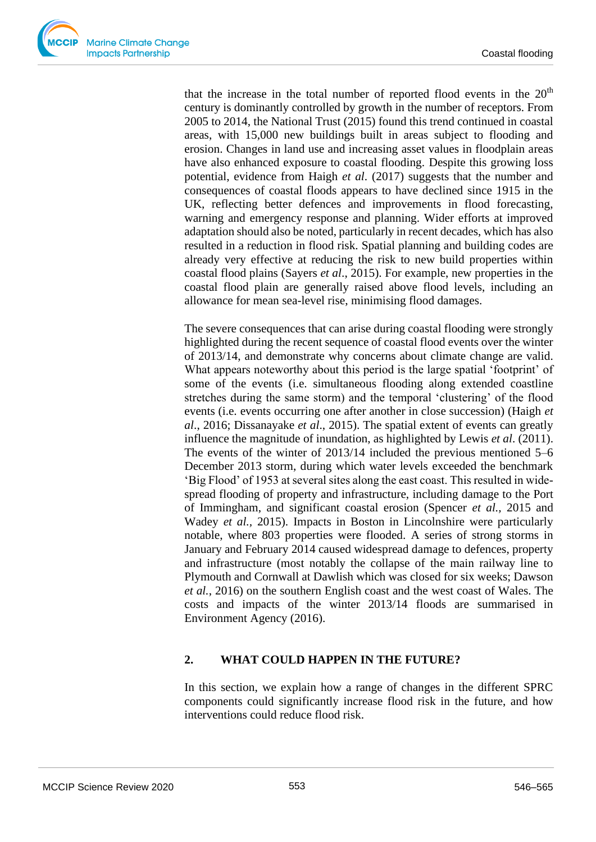that the increase in the total number of reported flood events in the  $20<sup>th</sup>$ century is dominantly controlled by growth in the number of receptors. From 2005 to 2014, the National Trust (2015) found this trend continued in coastal areas, with 15,000 new buildings built in areas subject to flooding and erosion. Changes in land use and increasing asset values in floodplain areas have also enhanced exposure to coastal flooding. Despite this growing loss potential, evidence from Haigh *et al*. (2017) suggests that the number and consequences of coastal floods appears to have declined since 1915 in the UK, reflecting better defences and improvements in flood forecasting, warning and emergency response and planning. Wider efforts at improved adaptation should also be noted, particularly in recent decades, which has also resulted in a reduction in flood risk. Spatial planning and building codes are already very effective at reducing the risk to new build properties within coastal flood plains (Sayers *et al*., 2015). For example, new properties in the coastal flood plain are generally raised above flood levels, including an allowance for mean sea-level rise, minimising flood damages.

The severe consequences that can arise during coastal flooding were strongly highlighted during the recent sequence of coastal flood events over the winter of 2013/14, and demonstrate why concerns about climate change are valid. What appears noteworthy about this period is the large spatial 'footprint' of some of the events (i.e. simultaneous flooding along extended coastline stretches during the same storm) and the temporal 'clustering' of the flood events (i.e. events occurring one after another in close succession) (Haigh *et al*., 2016; Dissanayake *et al*., 2015). The spatial extent of events can greatly influence the magnitude of inundation, as highlighted by Lewis *et al*. (2011). The events of the winter of 2013/14 included the previous mentioned 5–6 December 2013 storm, during which water levels exceeded the benchmark 'Big Flood' of 1953 at several sites along the east coast. This resulted in widespread flooding of property and infrastructure, including damage to the Port of Immingham, and significant coastal erosion (Spencer *et al.,* 2015 and Wadey *et al.,* 2015). Impacts in Boston in Lincolnshire were particularly notable, where 803 properties were flooded. A series of strong storms in January and February 2014 caused widespread damage to defences, property and infrastructure (most notably the collapse of the main railway line to Plymouth and Cornwall at Dawlish which was closed for six weeks; Dawson *et al.*, 2016) on the southern English coast and the west coast of Wales. The costs and impacts of the winter 2013/14 floods are summarised in Environment Agency (2016).

## **2. WHAT COULD HAPPEN IN THE FUTURE?**

In this section, we explain how a range of changes in the different SPRC components could significantly increase flood risk in the future, and how interventions could reduce flood risk.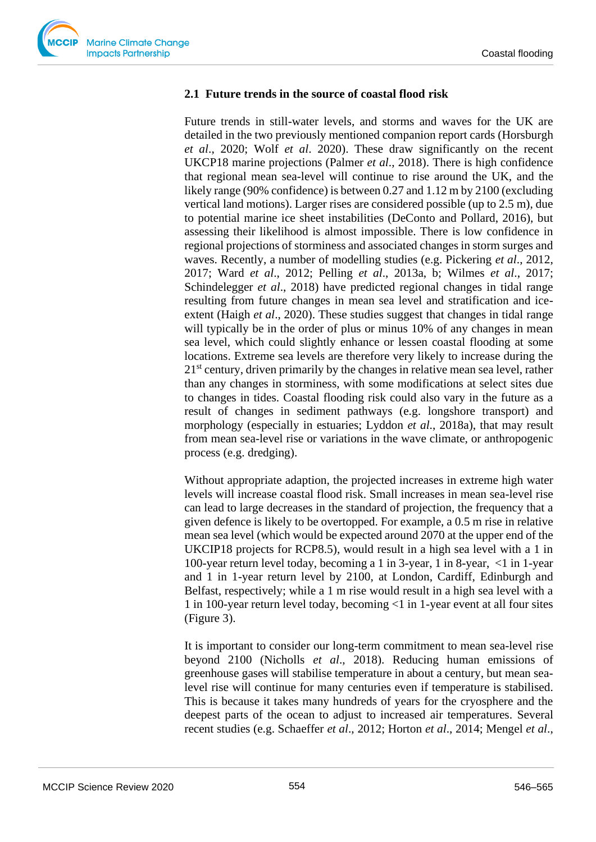

## **2.1 Future trends in the source of coastal flood risk**

Future trends in still-water levels, and storms and waves for the UK are detailed in the two previously mentioned companion report cards (Horsburgh *et al*., 2020; Wolf *et al*. 2020). These draw significantly on the recent UKCP18 marine projections (Palmer *et al*., 2018). There is high confidence that regional mean sea-level will continue to rise around the UK, and the likely range (90% confidence) is between 0.27 and 1.12 m by 2100 (excluding vertical land motions). Larger rises are considered possible (up to 2.5 m), due to potential marine ice sheet instabilities (DeConto and Pollard, 2016), but assessing their likelihood is almost impossible. There is low confidence in regional projections of storminess and associated changes in storm surges and waves. Recently, a number of modelling studies (e.g. Pickering *et al*., 2012, 2017; Ward *et al*., 2012; Pelling *et al*., 2013a, b; Wilmes *et al*., 2017; Schindelegger *et al*., 2018) have predicted regional changes in tidal range resulting from future changes in mean sea level and stratification and iceextent (Haigh *et al*., 2020). These studies suggest that changes in tidal range will typically be in the order of plus or minus 10% of any changes in mean sea level, which could slightly enhance or lessen coastal flooding at some locations. Extreme sea levels are therefore very likely to increase during the  $21<sup>st</sup>$  century, driven primarily by the changes in relative mean sea level, rather than any changes in storminess, with some modifications at select sites due to changes in tides. Coastal flooding risk could also vary in the future as a result of changes in sediment pathways (e.g. longshore transport) and morphology (especially in estuaries; Lyddon *et al*., 2018a), that may result from mean sea-level rise or variations in the wave climate, or anthropogenic process (e.g. dredging).

Without appropriate adaption, the projected increases in extreme high water levels will increase coastal flood risk. Small increases in mean sea-level rise can lead to large decreases in the standard of projection, the frequency that a given defence is likely to be overtopped. For example, a 0.5 m rise in relative mean sea level (which would be expected around 2070 at the upper end of the UKCIP18 projects for RCP8.5), would result in a high sea level with a 1 in 100-year return level today, becoming a 1 in 3-year, 1 in 8-year, <1 in 1-year and 1 in 1-year return level by 2100, at London, Cardiff, Edinburgh and Belfast, respectively; while a 1 m rise would result in a high sea level with a 1 in 100-year return level today, becoming <1 in 1-year event at all four sites (Figure 3).

It is important to consider our long-term commitment to mean sea-level rise beyond 2100 (Nicholls *et al*., 2018). Reducing human emissions of greenhouse gases will stabilise temperature in about a century, but mean sealevel rise will continue for many centuries even if temperature is stabilised. This is because it takes many hundreds of years for the cryosphere and the deepest parts of the ocean to adjust to increased air temperatures. Several recent studies (e.g. Schaeffer *et al*., 2012; Horton *et al*., 2014; Mengel *et al*.,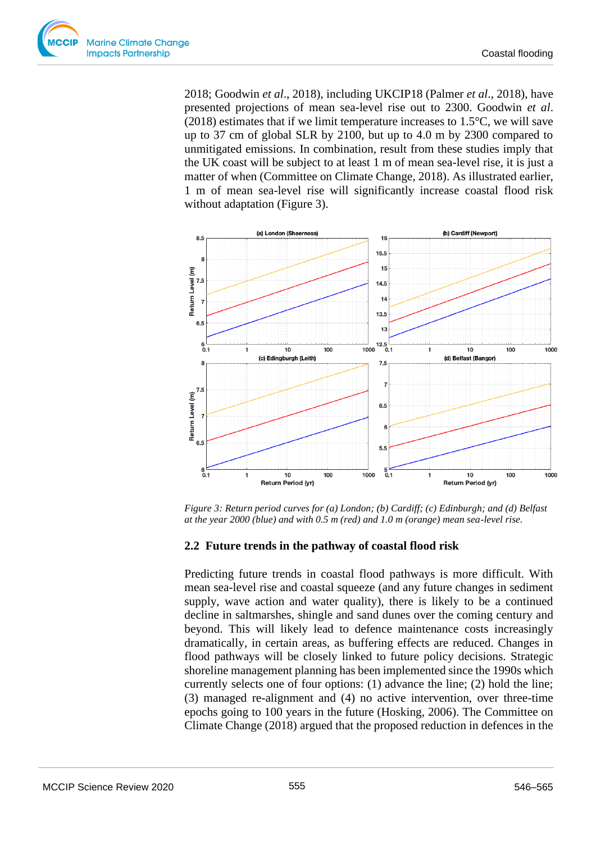

2018; Goodwin *et al*., 2018), including UKCIP18 (Palmer *et al*., 2018), have presented projections of mean sea-level rise out to 2300. Goodwin *et al*. (2018) estimates that if we limit temperature increases to 1.5°C, we will save up to 37 cm of global SLR by 2100, but up to 4.0 m by 2300 compared to unmitigated emissions. In combination, result from these studies imply that the UK coast will be subject to at least 1 m of mean sea-level rise, it is just a matter of when (Committee on Climate Change, 2018). As illustrated earlier, 1 m of mean sea-level rise will significantly increase coastal flood risk without adaptation (Figure 3).



*Figure 3: Return period curves for (a) London; (b) Cardiff; (c) Edinburgh; and (d) Belfast at the year 2000 (blue) and with 0.5 m (red) and 1.0 m (orange) mean sea-level rise.*

## **2.2 Future trends in the pathway of coastal flood risk**

Predicting future trends in coastal flood pathways is more difficult. With mean sea-level rise and coastal squeeze (and any future changes in sediment supply, wave action and water quality), there is likely to be a continued decline in saltmarshes, shingle and sand dunes over the coming century and beyond. This will likely lead to defence maintenance costs increasingly dramatically, in certain areas, as buffering effects are reduced. Changes in flood pathways will be closely linked to future policy decisions. Strategic shoreline management planning has been implemented since the 1990s which currently selects one of four options: (1) advance the line; (2) hold the line; (3) managed re-alignment and (4) no active intervention, over three-time epochs going to 100 years in the future (Hosking, 2006). The Committee on Climate Change (2018) argued that the proposed reduction in defences in the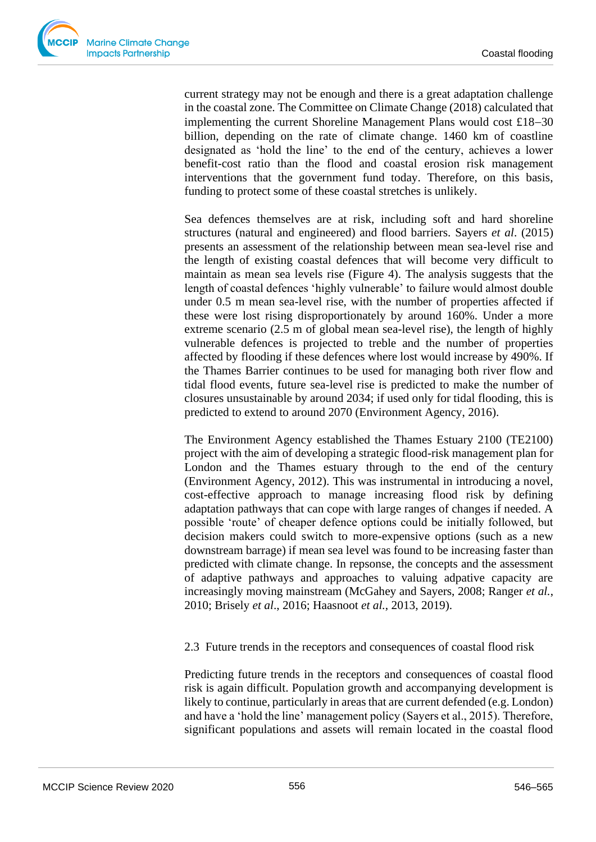current strategy may not be enough and there is a great adaptation challenge in the coastal zone. The Committee on Climate Change (2018) calculated that implementing the current Shoreline Management Plans would cost £18−30 billion, depending on the rate of climate change. 1460 km of coastline designated as 'hold the line' to the end of the century, achieves a lower benefit-cost ratio than the flood and coastal erosion risk management interventions that the government fund today. Therefore, on this basis, funding to protect some of these coastal stretches is unlikely.

Sea defences themselves are at risk, including soft and hard shoreline structures (natural and engineered) and flood barriers. Sayers *et al*. (2015) presents an assessment of the relationship between mean sea-level rise and the length of existing coastal defences that will become very difficult to maintain as mean sea levels rise (Figure 4). The analysis suggests that the length of coastal defences 'highly vulnerable' to failure would almost double under 0.5 m mean sea-level rise, with the number of properties affected if these were lost rising disproportionately by around 160%. Under a more extreme scenario (2.5 m of global mean sea-level rise), the length of highly vulnerable defences is projected to treble and the number of properties affected by flooding if these defences where lost would increase by 490%. If the Thames Barrier continues to be used for managing both river flow and tidal flood events, future sea-level rise is predicted to make the number of closures unsustainable by around 2034; if used only for tidal flooding, this is predicted to extend to around 2070 (Environment Agency, 2016).

The Environment Agency established the Thames Estuary 2100 (TE2100) project with the aim of developing a strategic flood-risk management plan for London and the Thames estuary through to the end of the century (Environment Agency, 2012). This was instrumental in introducing a novel, cost-effective approach to manage increasing flood risk by defining adaptation pathways that can cope with large ranges of changes if needed. A possible 'route' of cheaper defence options could be initially followed, but decision makers could switch to more-expensive options (such as a new downstream barrage) if mean sea level was found to be increasing faster than predicted with climate change. In repsonse, the concepts and the assessment of adaptive pathways and approaches to valuing adpative capacity are increasingly moving mainstream (McGahey and Sayers, 2008; Ranger *et al.*, 2010; Brisely *et al*., 2016; Haasnoot *et al.*, 2013, 2019).

## 2.3 Future trends in the receptors and consequences of coastal flood risk

Predicting future trends in the receptors and consequences of coastal flood risk is again difficult. Population growth and accompanying development is likely to continue, particularly in areas that are current defended (e.g. London) and have a 'hold the line' management policy (Sayers et al., 2015). Therefore, significant populations and assets will remain located in the coastal flood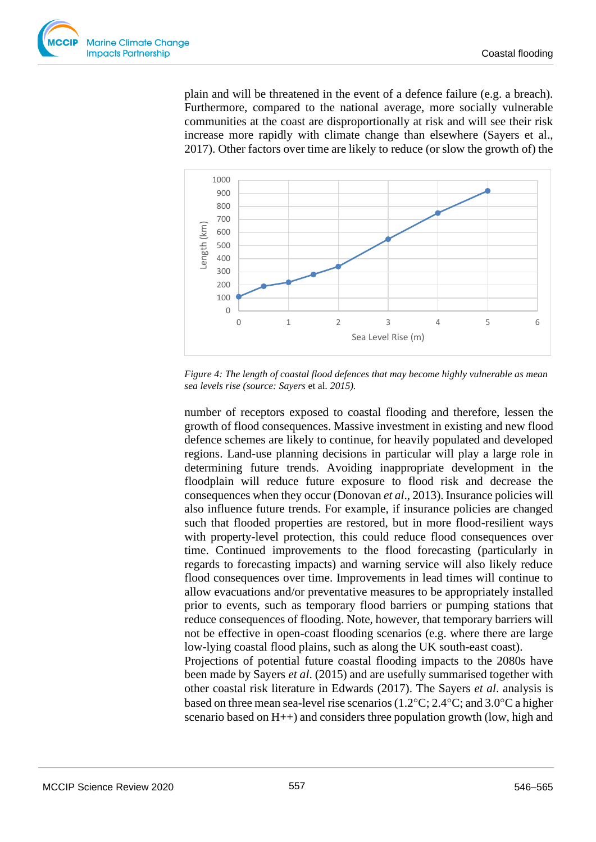

plain and will be threatened in the event of a defence failure (e.g. a breach). Furthermore, compared to the national average, more socially vulnerable communities at the coast are disproportionally at risk and will see their risk increase more rapidly with climate change than elsewhere (Sayers et al., 2017). Other factors over time are likely to reduce (or slow the growth of) the



*Figure 4: The length of coastal flood defences that may become highly vulnerable as mean sea levels rise (source: Sayers* et al*. 2015).*

number of receptors exposed to coastal flooding and therefore, lessen the growth of flood consequences. Massive investment in existing and new flood defence schemes are likely to continue, for heavily populated and developed regions. Land-use planning decisions in particular will play a large role in determining future trends. Avoiding inappropriate development in the floodplain will reduce future exposure to flood risk and decrease the consequences when they occur (Donovan *et al*., 2013). Insurance policies will also influence future trends. For example, if insurance policies are changed such that flooded properties are restored, but in more flood-resilient ways with property-level protection, this could reduce flood consequences over time. Continued improvements to the flood forecasting (particularly in regards to forecasting impacts) and warning service will also likely reduce flood consequences over time. Improvements in lead times will continue to allow evacuations and/or preventative measures to be appropriately installed prior to events, such as temporary flood barriers or pumping stations that reduce consequences of flooding. Note, however, that temporary barriers will not be effective in open-coast flooding scenarios (e.g. where there are large low-lying coastal flood plains, such as along the UK south-east coast). Projections of potential future coastal flooding impacts to the 2080s have been made by Sayers *et al*. (2015) and are usefully summarised together with other coastal risk literature in Edwards (2017). The Sayers *et al*. analysis is

based on three mean sea-level rise scenarios (1.2 $\degree$ C; 2.4 $\degree$ C; and 3.0 $\degree$ C a higher scenario based on H++) and considers three population growth (low, high and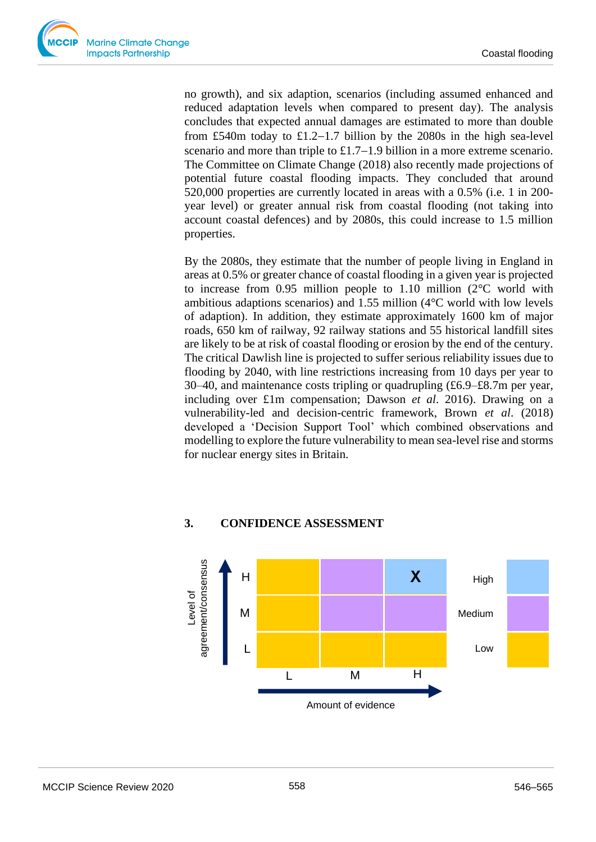no growth), and six adaption, scenarios (including assumed enhanced and reduced adaptation levels when compared to present day). The analysis concludes that expected annual damages are estimated to more than double from £540m today to £1.2−1.7 billion by the 2080s in the high sea-level scenario and more than triple to £1.7−1.9 billion in a more extreme scenario. The Committee on Climate Change (2018) also recently made projections of potential future coastal flooding impacts. They concluded that around 520,000 properties are currently located in areas with a 0.5% (i.e. 1 in 200 year level) or greater annual risk from coastal flooding (not taking into account coastal defences) and by 2080s, this could increase to 1.5 million properties.

By the 2080s, they estimate that the number of people living in England in areas at 0.5% or greater chance of coastal flooding in a given year is projected to increase from 0.95 million people to 1.10 million (2°C world with ambitious adaptions scenarios) and 1.55 million (4°C world with low levels of adaption). In addition, they estimate approximately 1600 km of major roads, 650 km of railway, 92 railway stations and 55 historical landfill sites are likely to be at risk of coastal flooding or erosion by the end of the century. The critical Dawlish line is projected to suffer serious reliability issues due to flooding by 2040, with line restrictions increasing from 10 days per year to 30–40, and maintenance costs tripling or quadrupling (£6.9–£8.7m per year, including over £1m compensation; Dawson *et al*. 2016). Drawing on a vulnerability-led and decision-centric framework, Brown *et al*. (2018) developed a 'Decision Support Tool' which combined observations and modelling to explore the future vulnerability to mean sea-level rise and storms for nuclear energy sites in Britain.

# **3. CONFIDENCE ASSESSMENT**

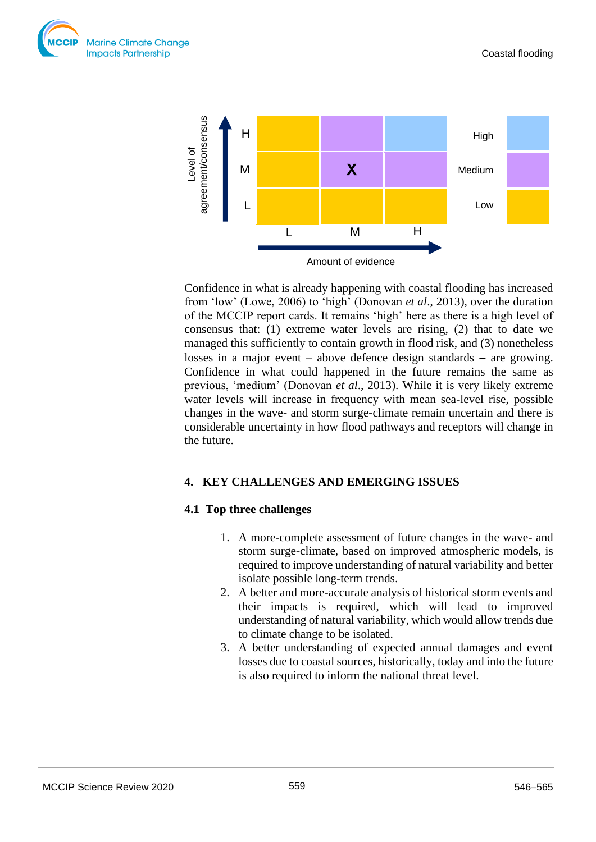



Confidence in what is already happening with coastal flooding has increased from 'low' (Lowe, 2006) to 'high' (Donovan *et al*., 2013), over the duration of the MCCIP report cards. It remains 'high' here as there is a high level of consensus that: (1) extreme water levels are rising, (2) that to date we managed this sufficiently to contain growth in flood risk, and (3) nonetheless losses in a major event – above defence design standards − are growing. Confidence in what could happened in the future remains the same as previous, 'medium' (Donovan *et al*., 2013). While it is very likely extreme water levels will increase in frequency with mean sea-level rise, possible changes in the wave- and storm surge-climate remain uncertain and there is considerable uncertainty in how flood pathways and receptors will change in the future.

## **4. KEY CHALLENGES AND EMERGING ISSUES**

#### **4.1 Top three challenges**

- 1. A more-complete assessment of future changes in the wave- and storm surge-climate, based on improved atmospheric models, is required to improve understanding of natural variability and better isolate possible long-term trends.
- 2. A better and more-accurate analysis of historical storm events and their impacts is required, which will lead to improved understanding of natural variability, which would allow trends due to climate change to be isolated.
- 3. A better understanding of expected annual damages and event losses due to coastal sources, historically, today and into the future is also required to inform the national threat level.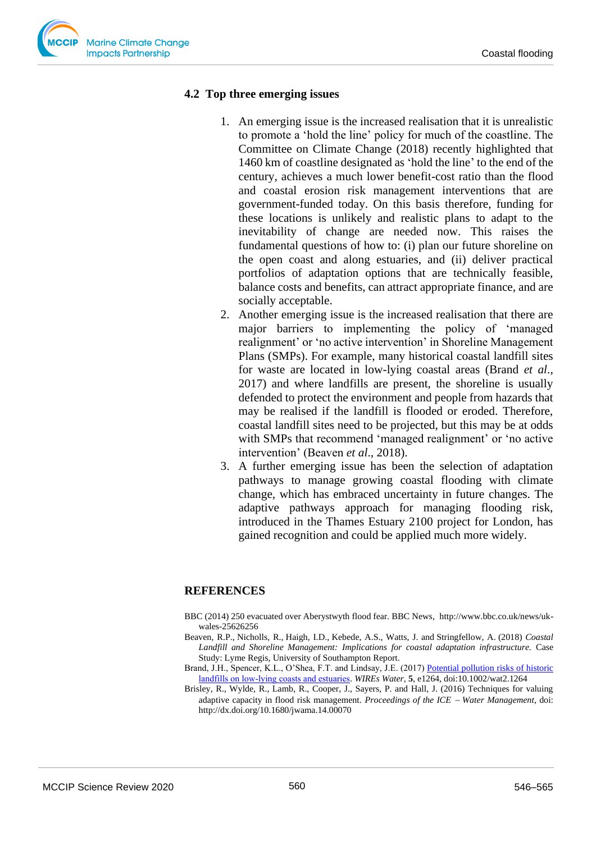

#### **4.2 Top three emerging issues**

- 1. An emerging issue is the increased realisation that it is unrealistic to promote a 'hold the line' policy for much of the coastline. The Committee on Climate Change (2018) recently highlighted that 1460 km of coastline designated as 'hold the line' to the end of the century, achieves a much lower benefit-cost ratio than the flood and coastal erosion risk management interventions that are government-funded today. On this basis therefore, funding for these locations is unlikely and realistic plans to adapt to the inevitability of change are needed now. This raises the fundamental questions of how to: (i) plan our future shoreline on the open coast and along estuaries, and (ii) deliver practical portfolios of adaptation options that are technically feasible, balance costs and benefits, can attract appropriate finance, and are socially acceptable.
- 2. Another emerging issue is the increased realisation that there are major barriers to implementing the policy of 'managed realignment' or 'no active intervention' in Shoreline Management Plans (SMPs). For example, many historical coastal landfill sites for waste are located in low-lying coastal areas (Brand *et al*., 2017) and where landfills are present, the shoreline is usually defended to protect the environment and people from hazards that may be realised if the landfill is flooded or eroded. Therefore, coastal landfill sites need to be projected, but this may be at odds with SMPs that recommend 'managed realignment' or 'no active intervention' (Beaven *et al*., 2018).
- 3. A further emerging issue has been the selection of adaptation pathways to manage growing coastal flooding with climate change, which has embraced uncertainty in future changes. The adaptive pathways approach for managing flooding risk, introduced in the Thames Estuary 2100 project for London, has gained recognition and could be applied much more widely.

#### **REFERENCES**

- BBC (2014) 250 evacuated over Aberystwyth flood fear. BBC News, http://www.bbc.co.uk/news/ukwales-25626256
- Beaven, R.P., Nicholls, R., Haigh, I.D., Kebede, A.S., Watts, J. and Stringfellow, A. (2018) *Coastal Landfill and Shoreline Management: Implications for coastal adaptation infrastructure.* Case Study: Lyme Regis, University of Southampton Report.
- Brand, J.H., Spencer, K.L., O'Shea, F.T. and Lindsay, J.E. (2017) [Potential pollution risks of historic](https://doi.org/10.1002/wat2.1264)  [landfills on low‐lying coasts and estuaries.](https://doi.org/10.1002/wat2.1264) *WIREs Water*, **5**, e1264, doi:10.1002/wat2.1264
- Brisley, R., Wylde, R., Lamb, R., Cooper, J., Sayers, P. and Hall, J. (2016) Techniques for valuing adaptive capacity in flood risk management. *Proceedings of the ICE* <sup>−</sup> *Water Management*, doi: http://dx.doi.org/10.1680/jwama.14.00070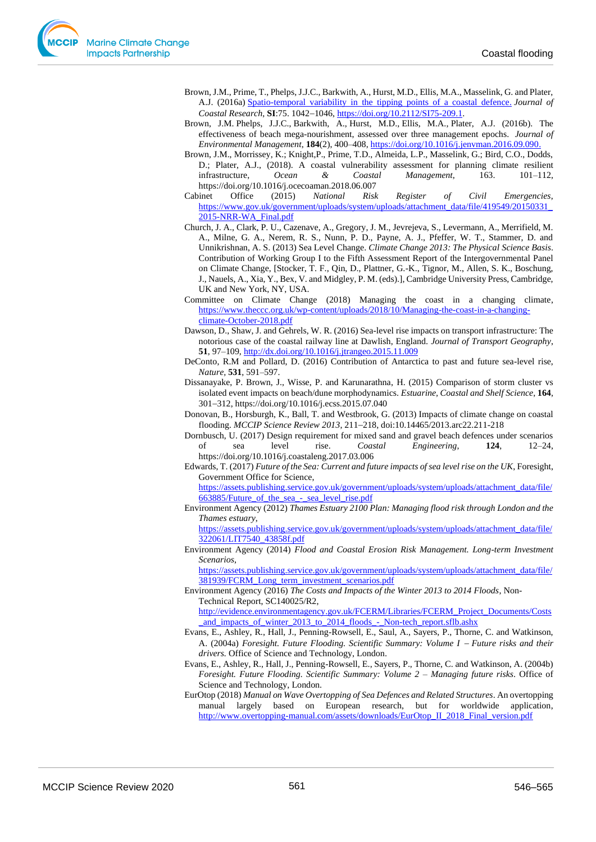- Brown, J.M., Prime, T., Phelps, J.J.C., Barkwith, A., Hurst, M.D., Ellis, M.A., Masselink, G. and Plater, A.J. (2016a) [Spatio-temporal variability in the tipping points of a coastal defence.](http://nora.nerc.ac.uk/id/eprint/513282/) *Journal of Coastal Research*, **SI**:75. 1042−1046, [https://doi.org/10.2112/SI75-209.1.](https://doi.org/10.2112/SI75-209.1)
- Brown, J.M. Phelps, J.J.C., Barkwith, A., Hurst, M.D., Ellis, M.A., Plater, A.J. (2016b). The effectiveness of beach mega-nourishment, assessed over three management epochs. *Journal of Environmental Management*, **184**(2), 400–408, [https://doi.org/10.1016/j.jenvman.2016.09.090.](https://doi.org/10.1016/j.jenvman.2016.09.090)
- Brown, J.M., Morrissey, K.; Knight,P., Prime, T.D., Almeida, L.P., Masselink, G.; Bird, C.O., Dodds, D.; Plater, A.J., (2018). A coastal vulnerability assessment for planning climate resilient infrastructure, *Ocean & Coastal Management*, 163. 101–112, https://doi.org/10.1016/j.ocecoaman.2018.06.007
- Cabinet Office (2015) *National Risk Register of Civil Emergencies*, [https://www.gov.uk/government/uploads/system/uploads/attachment\\_data/file/419549/20150331\\_](https://www.gov.uk/government/uploads/system/uploads/attachment_data/file/419549/20150331_2015-NRR-WA_Final.pdf) [2015-NRR-WA\\_Final.pdf](https://www.gov.uk/government/uploads/system/uploads/attachment_data/file/419549/20150331_2015-NRR-WA_Final.pdf)
- Church, J. A., Clark, P. U., Cazenave, A., Gregory, J. M., Jevrejeva, S., Levermann, A., Merrifield, M. A., Milne, G. A., Nerem, R. S., Nunn, P. D., Payne, A. J., Pfeffer, W. T., Stammer, D. and Unnikrishnan, A. S. (2013) Sea Level Change. *Climate Change 2013: The Physical Science Basis*. Contribution of Working Group I to the Fifth Assessment Report of the Intergovernmental Panel on Climate Change, [Stocker, T. F., Qin, D., Plattner, G.-K., Tignor, M., Allen, S. K., Boschung, J., Nauels, A., Xia, Y., Bex, V. and Midgley, P. M. (eds).], Cambridge University Press, Cambridge, UK and New York, NY, USA.
- Committee on Climate Change (2018) Managing the coast in a changing climate, [https://www.theccc.org.uk/wp-content/uploads/2018/10/Managing-the-coast-in-a-changing](https://www.theccc.org.uk/wp-content/uploads/2018/10/Managing-the-coast-in-a-changing-climate-October-2018.pdf)[climate-October-2018.pdf](https://www.theccc.org.uk/wp-content/uploads/2018/10/Managing-the-coast-in-a-changing-climate-October-2018.pdf)
- Dawson, D., Shaw, J. and Gehrels, W. R. (2016) Sea-level rise impacts on transport infrastructure: The notorious case of the coastal railway line at Dawlish, England. *Journal of Transport Geography*, **51**, 97–109, <http://dx.doi.org/10.1016/j.jtrangeo.2015.11.009>
- DeConto, R.M and Pollard, D. (2016) Contribution of Antarctica to past and future sea-level rise, *Nature,* **531**, 591–597.
- Dissanayake, P. Brown, J., Wisse, P. and Karunarathna, H. (2015) Comparison of storm cluster vs isolated event impacts on beach/dune morphodynamics. *Estuarine, Coastal and Shelf Science*, **164**, 301−312, https://doi.org/10.1016/j.ecss.2015.07.040
- Donovan, B., Horsburgh, K., Ball, T. and Westbrook, G. (2013) Impacts of climate change on coastal flooding. *MCCIP Science Review 2013*, 211−218, doi:10.14465/2013.arc22.211-218
- Dornbusch, U. (2017) Design requirement for mixed sand and gravel beach defences under scenarios of sea level rise. *Coastal Engineering*, **124**, 12–24, https://doi.org/10.1016/j.coastaleng.2017.03.006
- Edwards, T. (2017) *Future of the Sea: Current and future impacts of sea level rise on the UK*, Foresight, Government Office for Science,
	- [https://assets.publishing.service.gov.uk/government/uploads/system/uploads/attachment\\_data/file/](https://assets.publishing.service.gov.uk/government/uploads/system/uploads/attachment_data/file/663885/Future_of_the_sea_-_sea_level_rise.pdf) 663885/Future of the sea - sea level rise.pdf
- Environment Agency (2012) *Thames Estuary 2100 Plan: Managing flood risk through London and the Thames estuary*,

[https://assets.publishing.service.gov.uk/government/uploads/system/uploads/attachment\\_data/file/](https://assets.publishing.service.gov.uk/government/uploads/system/uploads/attachment_data/file/322061/LIT7540_43858f.pdf) [322061/LIT7540\\_43858f.pdf](https://assets.publishing.service.gov.uk/government/uploads/system/uploads/attachment_data/file/322061/LIT7540_43858f.pdf)

Environment Agency (2014) *Flood and Coastal Erosion Risk Management. Long-term Investment Scenarios*,

[https://assets.publishing.service.gov.uk/government/uploads/system/uploads/attachment\\_data/file/](https://assets.publishing.service.gov.uk/government/uploads/system/uploads/attachment_data/file/381939/FCRM_Long_term_investment_scenarios.pdf) [381939/FCRM\\_Long\\_term\\_investment\\_scenarios.pdf](https://assets.publishing.service.gov.uk/government/uploads/system/uploads/attachment_data/file/381939/FCRM_Long_term_investment_scenarios.pdf)

- Environment Agency (2016) *The Costs and Impacts of the Winter 2013 to 2014 Floods*, Non-Technical Report, SC140025/R2, [http://evidence.environmentagency.gov.uk/FCERM/Libraries/FCERM\\_Project\\_Documents/Costs](http://evidence.environmentagency.gov.uk/FCERM/Libraries/FCERM_Project_Documents/Costs_and_impacts_of_winter_2013_to_2014_floods_-_Non-tech_report.sflb.ashx) and impacts of winter 2013 to 2014 floods - Non-tech report.sflb.ashx
- Evans, E., Ashley, R., Hall, J., Penning-Rowsell, E., Saul, A., Sayers, P., Thorne, C. and Watkinson, A. (2004a) *Foresight. Future Flooding. Scientific Summary: Volume I* <sup>−</sup> *Future risks and their drivers.* Office of Science and Technology, London.
- Evans, E., Ashley, R., Hall, J., Penning-Rowsell, E., Sayers, P., Thorne, C. and Watkinson, A. (2004b) *Foresight. Future Flooding. Scientific Summary: Volume 2 – Managing future risks*. Office of Science and Technology, London.
- EurOtop (2018) *Manual on Wave Overtopping of Sea Defences and Related Structures*. An overtopping manual largely based on European research, but for worldwide application, [http://www.overtopping-manual.com/assets/downloads/EurOtop\\_II\\_2018\\_Final\\_version.pdf](http://www.overtopping-manual.com/assets/downloads/EurOtop_II_2018_Final_version.pdf)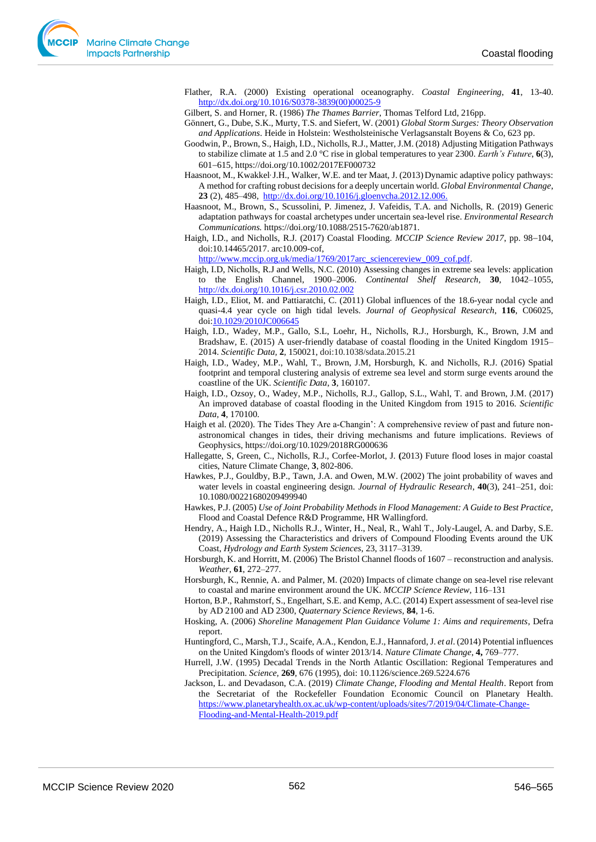Flather, R.A. (2000) Existing operational oceanography. *Coastal Engineering*, **41**, 13-40. [http://dx.doi.org/10.1016/S0378-3839\(00\)00025-9](http://dx.doi.org/10.1016/S0378-3839(00)00025-9)

Gilbert, S. and Horner, R. (1986) *The Thames Barrier*, Thomas Telford Ltd, 216pp.

- Gönnert, G., Dube, S.K., Murty, T.S. and Siefert, W. (2001) *Global Storm Surges: Theory Observation and Applications*. Heide in Holstein: Westholsteinische Verlagsanstalt Boyens & Co, 623 pp.
- Goodwin, P., Brown, S., Haigh, I.D., Nicholls, R.J., Matter, J.M. (2018) Adjusting Mitigation Pathways to stabilize climate at 1.5 and 2.0 °C rise in global temperatures to year 2300. *Earth's Future*, **6**(3), 601−615, https://doi.org/10.1002/2017EF000732
- Haasnoot, M., Kwakkel<sup>,</sup> J.H., Walker, W.E. and ter Maat, J. (2013) Dynamic adaptive policy pathways: A method for crafting robust decisions for a deeply uncertain world. *Global Environmental Change*, **23** (2), 485–498, [http://dx.doi.org/10.1016/j.gloenvcha.2012.12.006.](http://dx.doi.org/10.1016/j.gloenvcha.2012.12.006)
- Haasnoot, M., Brown, S., Scussolini, P. Jimenez, J. Vafeidis, T.A. and Nicholls, R. (2019) Generic adaptation pathways for coastal archetypes under uncertain sea-level rise. *Environmental Research Communications.* https://doi.org/10.1088/2515-7620/ab1871.
- Haigh, I.D., and Nicholls, R.J. (2017) Coastal Flooding. *MCCIP Science Review 2017*, pp. 98−104, doi:10.14465/2017. arc10.009-cof,

[http://www.mccip.org.uk/media/1769/2017arc\\_sciencereview\\_009\\_cof.pdf.](http://www.mccip.org.uk/media/1769/2017arc_sciencereview_009_cof.pdf)

- Haigh, I.D, Nicholls, R.J and Wells, N.C. (2010) Assessing changes in extreme sea levels: application to the English Channel, 1900–2006. *Continental Shelf Research*, **30**, 1042–1055, <http://dx.doi.org/10.1016/j.csr.2010.02.002>
- Haigh, I.D., Eliot, M. and Pattiaratchi, C. (2011) Global influences of the 18.6-year nodal cycle and quasi-4.4 year cycle on high tidal levels. *Journal of Geophysical Research*, **116**, C06025, do[i:10.1029/2010JC006645](http://dx.doi.org/10.1029/2010JC006645)
- Haigh, I.D., Wadey, M.P., Gallo, S.L, Loehr, H., Nicholls, R.J., Horsburgh, K., Brown, J.M and Bradshaw, E. (2015) A user-friendly database of coastal flooding in the United Kingdom 1915– 2014. *Scientific Data,* **2**, 150021, doi:10.1038/sdata.2015.21
- Haigh, I.D., Wadey, M.P., Wahl, T., Brown, J.M, Horsburgh, K. and Nicholls, R.J. (2016) Spatial footprint and temporal clustering analysis of extreme sea level and storm surge events around the coastline of the UK. *Scientific Data*, **3**, 160107.
- Haigh, I.D., Ozsoy, O., Wadey, M.P., Nicholls, R.J., Gallop, S.L., Wahl, T. and Brown, J.M. (2017) An improved database of coastal flooding in the United Kingdom from 1915 to 2016. *Scientific Data*, **4**, 170100.
- Haigh et al. (2020). The Tides They Are a-Changin': A comprehensive review of past and future nonastronomical changes in tides, their driving mechanisms and future implications. Reviews of Geophysics, https://doi.org/10.1029/2018RG000636
- Hallegatte, S, Green, C., Nicholls, R.J., Corfee-Morlot, J. **(**2013) Future flood loses in major coastal cities, Nature Climate Change, **3**, 802-806.
- Hawkes, P.J., Gouldby, B.P., Tawn, J.A. and Owen, M.W. (2002) The joint probability of waves and water levels in coastal engineering design. *Journal of Hydraulic Research*, **40**(3), 241–251, doi: 10.1080/00221680209499940
- Hawkes, P.J. (2005) *Use of Joint Probability Methods in Flood Management: A Guide to Best Practice,* Flood and Coastal Defence R&D Programme, HR Wallingford.
- Hendry, A., Haigh I.D., Nicholls R.J., Winter, H., Neal, R., Wahl T., Joly-Laugel, A. and Darby, S.E. (2019) Assessing the Characteristics and drivers of Compound Flooding Events around the UK Coast, *Hydrology and Earth System Sciences*, 23, 3117–3139.
- Horsburgh, K. and Horritt, M. (2006) The Bristol Channel floods of 1607 reconstruction and analysis. *Weather*, **61**, 272–277.
- Horsburgh, K., Rennie, A. and Palmer, M. (2020) Impacts of climate change on sea-level rise relevant to coastal and marine environment around the UK. *MCCIP Science Review,* 116–131
- Horton, B.P., Rahmstorf, S., Engelhart, S.E. and Kemp, A.C. (2014) Expert assessment of sea-level rise by AD 2100 and AD 2300, *Quaternary Science Reviews*, **84**, 1-6.
- Hosking, A. (2006) *Shoreline Management Plan Guidance Volume 1: Aims and requirements*, Defra report.
- Huntingford, C., Marsh, T.J., Scaife, A.A., Kendon, E.J., Hannaford, J. *et al*. (2014) Potential influences on the United Kingdom's floods of winter 2013/14. *Nature Climate Change*, **4,** 769–777.
- Hurrell, J.W. (1995) Decadal Trends in the North Atlantic Oscillation: Regional Temperatures and Precipitation. *Science,* **269**, 676 (1995), doi: 10.1126/science.269.5224.676
- Jackson, L. and Devadason, C.A. (2019) *Climate Change, Flooding and Mental Health*. Report from the Secretariat of the Rockefeller Foundation Economic Council on Planetary Health. [https://www.planetaryhealth.ox.ac.uk/wp-content/uploads/sites/7/2019/04/Climate-Change-](https://www.planetaryhealth.ox.ac.uk/wp-content/uploads/sites/7/2019/04/Climate-Change-Flooding-and-Mental-Health-2019.pdf)[Flooding-and-Mental-Health-2019.pdf](https://www.planetaryhealth.ox.ac.uk/wp-content/uploads/sites/7/2019/04/Climate-Change-Flooding-and-Mental-Health-2019.pdf)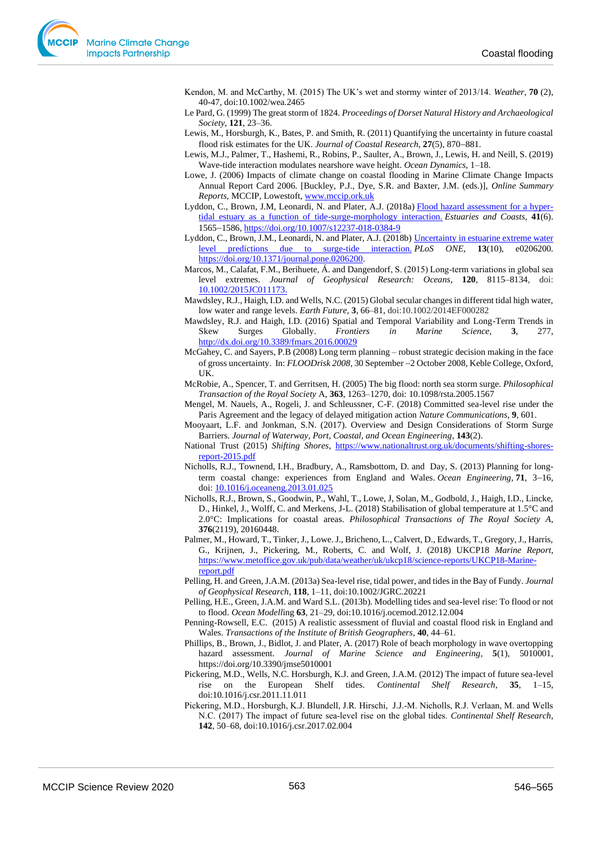Kendon, M. and McCarthy, M. (2015) The UK's wet and stormy winter of 2013/14. *Weather*, **70** (2), 40-47, doi:10.1002/wea.2465

- Le Pard, G. (1999) The great storm of 1824. *Proceedings of Dorset Natural History and Archaeological Society*, **121**, 23–36.
- Lewis, M., Horsburgh, K., Bates, P. and Smith, R. (2011) Quantifying the uncertainty in future coastal flood risk estimates for the UK. *Journal of Coastal Research*, **27**(5), 870−881.
- Lewis, M.J., Palmer, T., Hashemi, R., Robins, P., Saulter, A., Brown, J., Lewis, H. and Neill, S. (2019) Wave-tide interaction modulates nearshore wave height. *Ocean Dynamics*, 1–18.
- Lowe, J. (2006) Impacts of climate change on coastal flooding in Marine Climate Change Impacts Annual Report Card 2006. [Buckley, P.J., Dye, S.R. and Baxter, J.M. (eds.)], *Online Summary Reports*, MCCIP, Lowestoft[, www.mccip.ork.uk](http://www.mccip.ork.uk/)
- Lyddon, C., Brown, J.M, Leonardi, N. and Plater, A.J. (2018a) [Flood hazard assessment for a hyper](http://nora.nerc.ac.uk/id/eprint/519550/)[tidal estuary as a function of tide-surge-morphology interaction.](http://nora.nerc.ac.uk/id/eprint/519550/) *Estuaries and Coasts*, **41**(6). 1565−1586, <https://doi.org/10.1007/s12237-018-0384-9>
- Lyddon, C., Brown, J.M., Leonardi, N. and Plater, A.J. (2018b) [Uncertainty in estuarine extreme water](http://nora.nerc.ac.uk/id/eprint/521970/)  [level predictions due to surge-tide interaction.](http://nora.nerc.ac.uk/id/eprint/521970/) *PLoS ONE*, **13**(10), e0206200. [https://doi.org/10.1371/journal.pone.0206200.](https://doi.org/10.1371/journal.pone.0206200)
- Marcos, M., Calafat, F.M., Berihuete, Á. and Dangendorf, S. (2015) Long-term variations in global sea level extremes. *Journal of Geophysical Research: Oceans*, **120**, 8115–8134, doi: [10.1002/2015JC011173.](http://dx.doi.org/10.1002/2015JC011173)
- Mawdsley, R.J., Haigh, I.D. and Wells, N.C. (2015) Global secular changes in different tidal high water, low water and range levels. *Earth Future,* **3**, 66–81, doi:10.1002/2014EF000282
- Mawdsley, R.J. and Haigh, I.D. (2016) Spatial and Temporal Variability and Long-Term Trends in Skew Surges Globally. *Frontiers in Marine Science*, **3**, 277, <http://dx.doi.org/10.3389/fmars.2016.00029>
- McGahey, C. and Sayers, P.B (2008) Long term planning robust strategic decision making in the face of gross uncertainty. In: *FLOODrisk 2008*, 30 September −2 October 2008, Keble College, Oxford, UK.
- McRobie, A., Spencer, T. and Gerritsen, H. (2005) The big flood: north sea storm surge. *Philosophical Transaction of the Royal Society* A, **363**, 1263–1270, doi: 10.1098/rsta.2005.1567
- Mengel, M. Nauels, A., Rogeli, J. and Schleussner, C-F. (2018) Committed sea-level rise under the Paris Agreement and the legacy of delayed mitigation action *Nature Communications*, **9**, 601.
- Mooyaart, L.F. and Jonkman, S.N. (2017). Overview and Design Considerations of Storm Surge Barriers. *Journal of Waterway, Port, Coastal, and Ocean Engineering*, **143**(2).
- National Trust (2015) *Shifting Shores*, [https://www.nationaltrust.org.uk/documents/shifting-shores](https://www.nationaltrust.org.uk/documents/shifting-shores-report-2015.pdf)[report-2015.pdf](https://www.nationaltrust.org.uk/documents/shifting-shores-report-2015.pdf)
- Nicholls, R.J., Townend, I.H., Bradbury, A., Ramsbottom, D. and Day, S. (2013) [Planning for long](https://eprints.soton.ac.uk/cgi/eprintbypureuuid?uuid=6bb3eeea-6a1f-4f09-9c93-9bb00919925d)[term coastal change: experiences from England and Wales.](https://eprints.soton.ac.uk/cgi/eprintbypureuuid?uuid=6bb3eeea-6a1f-4f09-9c93-9bb00919925d) *Ocean Engineering*, **71**, 3−16, doi: 10.1016/j.oceaneng.2013.01.02
- Nicholls, R.J., Brown, S., Goodwin, P., Wahl, T., Lowe, J, Solan, M., Godbold, J., Haigh, I.D., Lincke, D., Hinkel, J., Wolff, C. and Merkens, J-L. (2018) Stabilisation of global temperature at 1.5°C and 2.0°C: Implications for coastal areas. *Philosophical Transactions of The Royal Society A*, **376**(2119), 20160448.
- Palmer, M., Howard, T., Tinker, J., Lowe. J., Bricheno, L., Calvert, D., Edwards, T., Gregory, J., Harris, G., Krijnen, J., Pickering, M., Roberts, C. and Wolf, J. (2018) UKCP18 *Marine Report*, [https://www.metoffice.gov.uk/pub/data/weather/uk/ukcp18/science-reports/UKCP18-Marine](https://www.metoffice.gov.uk/pub/data/weather/uk/ukcp18/science-reports/UKCP18-Marine-report.pdf)[report.pdf](https://www.metoffice.gov.uk/pub/data/weather/uk/ukcp18/science-reports/UKCP18-Marine-report.pdf)
- Pelling, H. and Green, J.A.M. (2013a) Sea-level rise, tidal power, and tides in the Bay of Fundy. *Journal of Geophysical Research*, **118**, 1–11, doi:10.1002/JGRC.20221
- Pelling, H.E., Green, J.A.M. and Ward S.L. (2013b). Modelling tides and sea-level rise: To flood or not to flood. *Ocean Modell*ing **63**, 21–29, doi:10.1016/j.ocemod.2012.12.004
- Penning-Rowsell, E.C. (2015) A realistic assessment of fluvial and coastal flood risk in England and Wales. *Transactions of the Institute of British Geographers*, **40**, 44–61.
- Phillips, B., Brown, J., Bidlot, J. and Plater, A. (2017) Role of beach morphology in wave overtopping hazard assessment. *Journal of Marine Science and Engineering*, **5**(1), 5010001, https://doi.org/10.3390/jmse5010001
- Pickering, M.D., Wells, N.C. Horsburgh, K.J. and Green, J.A.M. (2012) The impact of future sea-level rise on the European Shelf tides. *Continental Shelf Research*, **35**, 1–15, doi:10.1016/j.csr.2011.11.011
- Pickering, M.D., Horsburgh, K.J. Blundell, J.R. Hirschi, J.J.‐M. Nicholls, R.J. Verlaan, M. and Wells N.C. (2017) The impact of future sea‐level rise on the global tides. *Continental Shelf Research*, **142**, 50–68, doi:10.1016/j.csr.2017.02.004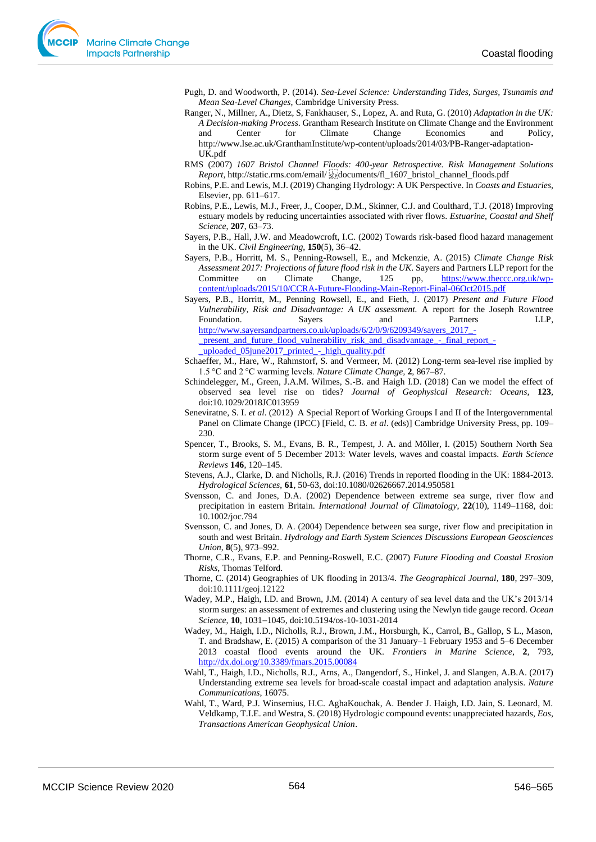- Pugh, D. and Woodworth, P. (2014). *Sea-Level Science: Understanding Tides, Surges, Tsunamis and Mean Sea-Level Changes*, Cambridge University Press.
- Ranger, N., Millner, A., Dietz, S, Fankhauser, S., Lopez, A. and Ruta, G. (2010) *Adaptation in the UK: A Decision-making Process*. Grantham Research Institute on Climate Change and the Environment and Center for Climate Change Economics and Policy, http://www.lse.ac.uk/GranthamInstitute/wp-content/uploads/2014/03/PB-Ranger-adaptation-UK.pdf
- RMS (2007) *1607 Bristol Channel Floods: 400-year Retrospective. Risk Management Solutions Report*, http://static.rms.com/email/ [1607\_htistol\_channel\_floods.pdf
- Robins, P.E. and Lewis, M.J. (2019) Changing Hydrology: A UK Perspective. In *Coasts and Estuaries,* Elsevier, pp. 611–617.
- Robins, P.E., Lewis, M.J., Freer, J., Cooper, D.M., Skinner, C.J. and Coulthard, T.J. (2018) Improving estuary models by reducing uncertainties associated with river flows. *Estuarine, Coastal and Shelf Science*, **207**, 63–73.
- Sayers, P.B., Hall, J.W. and Meadowcroft, I.C. (2002) Towards risk-based flood hazard management in the UK. *Civil Engineering*, **150**(5), 36–42.
- Sayers, P.B., Horritt, M. S., Penning-Rowsell, E., and Mckenzie, A. (2015) *Climate Change Risk Assessment 2017: Projections of future flood risk in the UK*. Sayers and Partners LLP report for the Committee on Climate Change, 125 pp, [https://www.theccc.org.uk/wp](https://www.theccc.org.uk/wp-content/uploads/2015/10/CCRA-Future-Flooding-Main-Report-Final-06Oct2015.pdf)[content/uploads/2015/10/CCRA-Future-Flooding-Main-Report-Final-06Oct2015.pdf](https://www.theccc.org.uk/wp-content/uploads/2015/10/CCRA-Future-Flooding-Main-Report-Final-06Oct2015.pdf)

Sayers, P.B., Horritt, M., Penning Rowsell, E., and Fieth, J. (2017) *Present and Future Flood Vulnerability, Risk and Disadvantage: A UK assessment.* A report for the Joseph Rowntree Foundation. Sayers and Partners LLP, [http://www.sayersandpartners.co.uk/uploads/6/2/0/9/6209349/sayers\\_2017\\_](http://www.sayersandpartners.co.uk/uploads/6/2/0/9/6209349/sayers_2017_-_present_and_future_flood_vulnerability_risk_and_disadvantage_-_final_report_-_uploaded_05june2017_printed_-_high_quality.pdf) present and future flood vulnerability risk and disadvantage - final report [\\_uploaded\\_05june2017\\_printed\\_-\\_high\\_quality.pdf](http://www.sayersandpartners.co.uk/uploads/6/2/0/9/6209349/sayers_2017_-_present_and_future_flood_vulnerability_risk_and_disadvantage_-_final_report_-_uploaded_05june2017_printed_-_high_quality.pdf)

- Schaeffer, M., Hare, W., Rahmstorf, S. and Vermeer, M. (2012) Long-term sea-level rise implied by 1.5 °C and 2 °C warming levels. *Nature Climate Change,* **2**, 867–87.
- Schindelegger, M., Green, J.A.M. Wilmes, S.-B. and Haigh I.D. (2018) Can we model the effect of observed sea level rise on tides? *Journal of Geophysical Research: Oceans,* **123**, doi:10.1029/2018JC013959
- Seneviratne, S. I. *et al*. (2012) A Special Report of Working Groups I and II of the Intergovernmental Panel on Climate Change (IPCC) [Field, C. B. *et al*. (eds)] Cambridge University Press, pp. 109– 230.
- Spencer, T., Brooks, S. M., Evans, B. R., Tempest, J. A. and Möller, I. (2015) Southern North Sea storm surge event of 5 December 2013: Water levels, waves and coastal impacts. *Earth Science Reviews* **146**, 120–145.
- Stevens, A.J., Clarke, D. and Nicholls, R.J. (2016) Trends in reported flooding in the UK: 1884-2013. *Hydrological Sciences*, **61**, 50-63, doi:10.1080/02626667.2014.950581
- Svensson, C. and Jones, D.A. (2002) Dependence between extreme sea surge, river flow and precipitation in eastern Britain. *International Journal of Climatology*, **22**(10), 1149–1168, doi: 10.1002/joc.794
- Svensson, C. and Jones, D. A. (2004) Dependence between sea surge, river flow and precipitation in south and west Britain. *Hydrology and Earth System Sciences Discussions European Geosciences Union*, **8**(5), 973–992.
- Thorne, C.R., Evans, E.P. and Penning-Roswell, E.C. (2007) *Future Flooding and Coastal Erosion Risks*, Thomas Telford.
- Thorne, C. (2014) Geographies of UK flooding in 2013/4. *The Geographical Journal*, **180**, 297–309, doi:10.1111/geoj.12122
- Wadey, M.P., Haigh, I.D. and Brown, J.M. (2014) A century of sea level data and the UK's 2013/14 storm surges: an assessment of extremes and clustering using the Newlyn tide gauge record. *Ocean Science*, **10**, 1031−1045, doi:10.5194/os-10-1031-2014
- Wadey, M., Haigh, I.D., Nicholls, R.J., Brown, J.M., Horsburgh, K., Carrol, B., Gallop, S L., Mason, T. and Bradshaw, E. (2015) A comparison of the 31 January–1 February 1953 and 5–6 December 2013 coastal flood events around the UK. *Frontiers in Marine Science*, **2**, 793, <http://dx.doi.org/10.3389/fmars.2015.00084>
- Wahl, T., Haigh, I.D., Nicholls, R.J., Arns, A., Dangendorf, S., Hinkel, J. and Slangen, A.B.A. (2017) Understanding extreme sea levels for broad-scale coastal impact and adaptation analysis. *Nature Communications*, 16075.
- Wahl, T., Ward, P.J. Winsemius, H.C. AghaKouchak, A. Bender J. Haigh, I.D. Jain, S. Leonard, M. Veldkamp, T.I.E. and Westra, S. (2018) Hydrologic compound events: unappreciated hazards, *Eos, Transactions American Geophysical Union*.